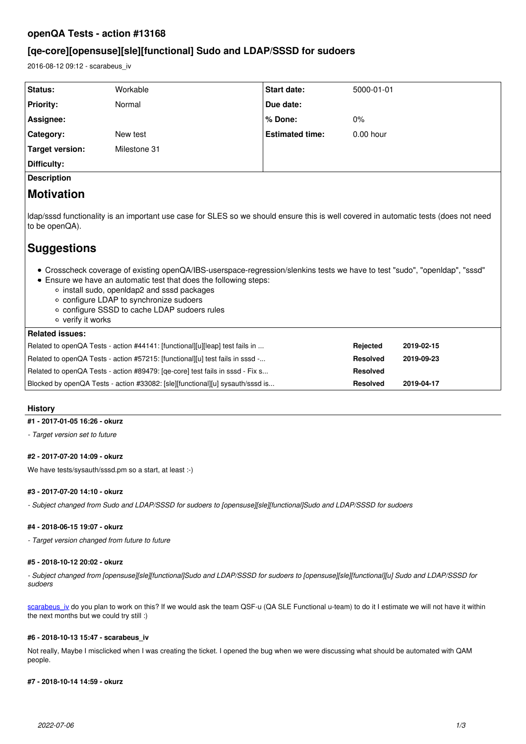# **openQA Tests - action #13168**

# **[qe-core][opensuse][sle][functional] Sudo and LDAP/SSSD for sudoers**

2016-08-12 09:12 - scarabeus\_iv

| Status:                                                                                                                                                                                                                                                                                                                                                                                                                                                                                                                                               | Workable                                                                     | Start date:            | 5000-01-01      |            |
|-------------------------------------------------------------------------------------------------------------------------------------------------------------------------------------------------------------------------------------------------------------------------------------------------------------------------------------------------------------------------------------------------------------------------------------------------------------------------------------------------------------------------------------------------------|------------------------------------------------------------------------------|------------------------|-----------------|------------|
| <b>Priority:</b>                                                                                                                                                                                                                                                                                                                                                                                                                                                                                                                                      | Normal                                                                       | Due date:              |                 |            |
| Assignee:                                                                                                                                                                                                                                                                                                                                                                                                                                                                                                                                             |                                                                              | % Done:                | 0%              |            |
| Category:                                                                                                                                                                                                                                                                                                                                                                                                                                                                                                                                             | New test                                                                     | <b>Estimated time:</b> | $0.00$ hour     |            |
| <b>Target version:</b>                                                                                                                                                                                                                                                                                                                                                                                                                                                                                                                                | Milestone 31                                                                 |                        |                 |            |
| Difficulty:                                                                                                                                                                                                                                                                                                                                                                                                                                                                                                                                           |                                                                              |                        |                 |            |
| <b>Description</b>                                                                                                                                                                                                                                                                                                                                                                                                                                                                                                                                    |                                                                              |                        |                 |            |
| <b>Motivation</b>                                                                                                                                                                                                                                                                                                                                                                                                                                                                                                                                     |                                                                              |                        |                 |            |
| Idap/sssd functionality is an important use case for SLES so we should ensure this is well covered in automatic tests (does not need<br>to be openQA).<br><b>Suggestions</b><br>• Crosscheck coverage of existing openQA/IBS-userspace-regression/slenkins tests we have to test "sudo", "openIdap", "sssd"<br>• Ensure we have an automatic test that does the following steps:<br>$\circ$ install sudo, openidap2 and sssd packages<br>• configure LDAP to synchronize sudoers<br>o configure SSSD to cache LDAP sudoers rules<br>o verify it works |                                                                              |                        |                 |            |
| <b>Related issues:</b>                                                                                                                                                                                                                                                                                                                                                                                                                                                                                                                                | Related to openQA Tests - action #44141: [functional][u][leap] test fails in |                        | Rejected        | 2019-02-15 |
| Related to openQA Tests - action #57215: [functional][u] test fails in sssd -                                                                                                                                                                                                                                                                                                                                                                                                                                                                         |                                                                              |                        | <b>Resolved</b> | 2019-09-23 |
| Related to openQA Tests - action #89479: [qe-core] test fails in sssd - Fix s                                                                                                                                                                                                                                                                                                                                                                                                                                                                         |                                                                              |                        | <b>Resolved</b> |            |
| Blocked by openQA Tests - action #33082: [sle][functional][u] sysauth/sssd is                                                                                                                                                                                                                                                                                                                                                                                                                                                                         |                                                                              |                        | <b>Resolved</b> | 2019-04-17 |

## **History**

#### **#1 - 2017-01-05 16:26 - okurz**

*- Target version set to future*

#### **#2 - 2017-07-20 14:09 - okurz**

We have tests/sysauth/sssd.pm so a start, at least :-)

#### **#3 - 2017-07-20 14:10 - okurz**

*- Subject changed from Sudo and LDAP/SSSD for sudoers to [opensuse][sle][functional]Sudo and LDAP/SSSD for sudoers*

# **#4 - 2018-06-15 19:07 - okurz**

*- Target version changed from future to future*

## **#5 - 2018-10-12 20:02 - okurz**

*- Subject changed from [opensuse][sle][functional]Sudo and LDAP/SSSD for sudoers to [opensuse][sle][functional][u] Sudo and LDAP/SSSD for sudoers*

[scarabeus\\_iv](progress.opensuse.org/users/49) do you plan to work on this? If we would ask the team QSF-u (QA SLE Functional u-team) to do it I estimate we will not have it within the next months but we could try still :)

## **#6 - 2018-10-13 15:47 - scarabeus\_iv**

Not really, Maybe I misclicked when I was creating the ticket. I opened the bug when we were discussing what should be automated with QAM people.

#### **#7 - 2018-10-14 14:59 - okurz**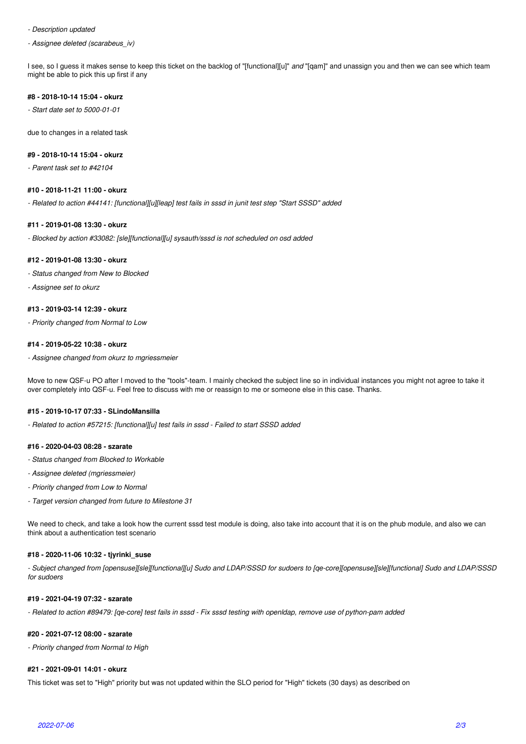#### *- Description updated*

*- Assignee deleted (scarabeus\_iv)*

I see, so I guess it makes sense to keep this ticket on the backlog of "[functional][u]" *and* "[qam]" and unassign you and then we can see which team might be able to pick this up first if any

## **#8 - 2018-10-14 15:04 - okurz**

*- Start date set to 5000-01-01*

due to changes in a related task

## **#9 - 2018-10-14 15:04 - okurz**

*- Parent task set to #42104*

# **#10 - 2018-11-21 11:00 - okurz**

*- Related to action #44141: [functional][u][leap] test fails in sssd in junit test step "Start SSSD" added*

#### **#11 - 2019-01-08 13:30 - okurz**

*- Blocked by action #33082: [sle][functional][u] sysauth/sssd is not scheduled on osd added*

#### **#12 - 2019-01-08 13:30 - okurz**

- *Status changed from New to Blocked*
- *Assignee set to okurz*

#### **#13 - 2019-03-14 12:39 - okurz**

*- Priority changed from Normal to Low*

## **#14 - 2019-05-22 10:38 - okurz**

*- Assignee changed from okurz to mgriessmeier*

Move to new QSF-u PO after I moved to the "tools"-team. I mainly checked the subject line so in individual instances you might not agree to take it over completely into QSF-u. Feel free to discuss with me or reassign to me or someone else in this case. Thanks.

#### **#15 - 2019-10-17 07:33 - SLindoMansilla**

*- Related to action #57215: [functional][u] test fails in sssd - Failed to start SSSD added*

## **#16 - 2020-04-03 08:28 - szarate**

- *Status changed from Blocked to Workable*
- *Assignee deleted (mgriessmeier)*
- *Priority changed from Low to Normal*
- *Target version changed from future to Milestone 31*

We need to check, and take a look how the current sssd test module is doing, also take into account that it is on the phub module, and also we can think about a authentication test scenario

## **#18 - 2020-11-06 10:32 - tjyrinki\_suse**

*- Subject changed from [opensuse][sle][functional][u] Sudo and LDAP/SSSD for sudoers to [qe-core][opensuse][sle][functional] Sudo and LDAP/SSSD for sudoers*

### **#19 - 2021-04-19 07:32 - szarate**

*- Related to action #89479: [qe-core] test fails in sssd - Fix sssd testing with openldap, remove use of python-pam added*

#### **#20 - 2021-07-12 08:00 - szarate**

*- Priority changed from Normal to High*

#### **#21 - 2021-09-01 14:01 - okurz**

This ticket was set to "High" priority but was not updated within the SLO period for "High" tickets (30 days) as described on